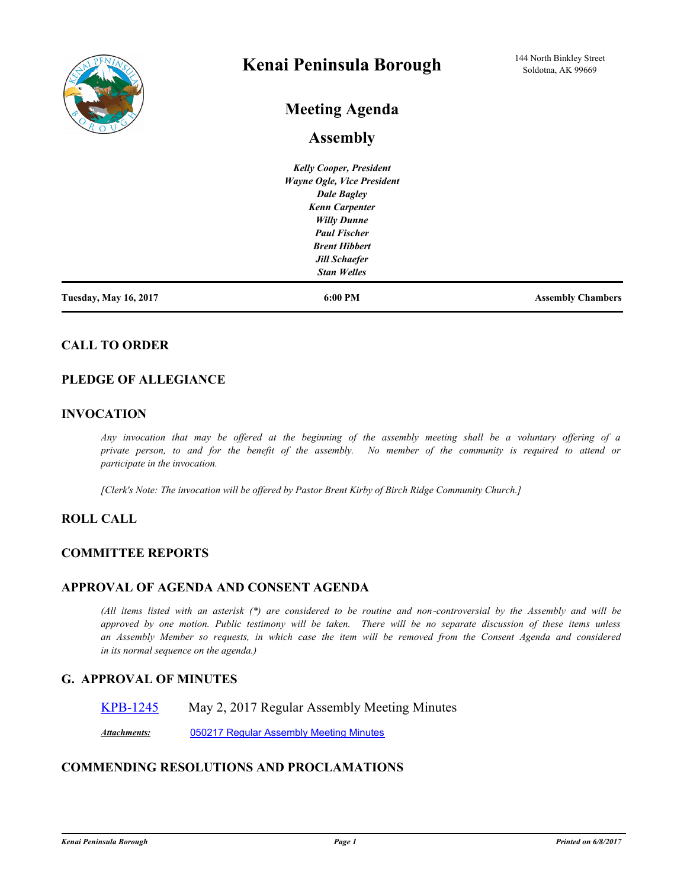

# **Kenai Peninsula Borough**

# **Meeting Agenda**

# **Assembly**

|                              | <b>Kelly Cooper, President</b> |                          |
|------------------------------|--------------------------------|--------------------------|
|                              | Wayne Ogle, Vice President     |                          |
|                              | <b>Dale Bagley</b>             |                          |
|                              | <b>Kenn Carpenter</b>          |                          |
|                              | <b>Willy Dunne</b>             |                          |
|                              | <b>Paul Fischer</b>            |                          |
|                              | <b>Brent Hibbert</b>           |                          |
|                              | <b>Jill Schaefer</b>           |                          |
|                              | <b>Stan Welles</b>             |                          |
| <b>Tuesday, May 16, 2017</b> | 6:00 PM                        | <b>Assembly Chambers</b> |

# **CALL TO ORDER**

# **PLEDGE OF ALLEGIANCE**

### **INVOCATION**

*Any invocation that may be offered at the beginning of the assembly meeting shall be a voluntary offering of a private person, to and for the benefit of the assembly. No member of the community is required to attend or participate in the invocation.*

*[Clerk's Note: The invocation will be offered by Pastor Brent Kirby of Birch Ridge Community Church.]*

# **ROLL CALL**

### **COMMITTEE REPORTS**

### **APPROVAL OF AGENDA AND CONSENT AGENDA**

*(All items listed with an asterisk (\*) are considered to be routine and non-controversial by the Assembly and will be approved by one motion. Public testimony will be taken. There will be no separate discussion of these items unless an Assembly Member so requests, in which case the item will be removed from the Consent Agenda and considered in its normal sequence on the agenda.)*

### **G. APPROVAL OF MINUTES**

[KPB-1245](http://kpb.legistar.com/gateway.aspx?m=l&id=/matter.aspx?key=11525) May 2, 2017 Regular Assembly Meeting Minutes

*Attachments:* [050217 Regular Assembly Meeting Minutes](http://kpb.legistar.com/gateway.aspx?M=F&ID=0323790f-8c0e-4616-8dd1-ad4a1edb1653.pdf)

# **COMMENDING RESOLUTIONS AND PROCLAMATIONS**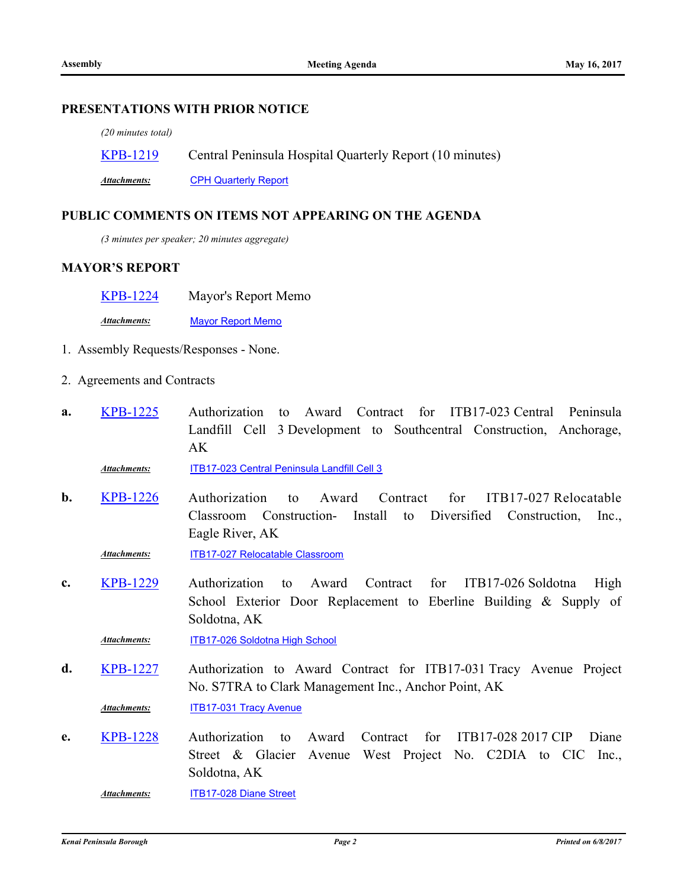### **PRESENTATIONS WITH PRIOR NOTICE**

*(20 minutes total)*

| <b>KPB-1219</b> | Central Peninsula Hospital Quarterly Report (10 minutes) |
|-----------------|----------------------------------------------------------|
|-----------------|----------------------------------------------------------|

*Attachments:* [CPH Quarterly Report](http://kpb.legistar.com/gateway.aspx?M=F&ID=1d0cd982-7802-4c89-b11c-dd21c57a95f7.pptx)

#### **PUBLIC COMMENTS ON ITEMS NOT APPEARING ON THE AGENDA**

*(3 minutes per speaker; 20 minutes aggregate)*

### **MAYOR'S REPORT**

[KPB-1224](http://kpb.legistar.com/gateway.aspx?m=l&id=/matter.aspx?key=11504) Mayor's Report Memo

*Attachments:* [Mayor Report Memo](http://kpb.legistar.com/gateway.aspx?M=F&ID=1eda0ce6-02fa-4a7c-9328-8dac31b58522.pdf)

- 1. Assembly Requests/Responses None.
- 2. Agreements and Contracts
- Authorization to Award Contract for ITB17-023 Central Peninsula Landfill Cell 3 Development to Southcentral Construction, Anchorage, AK **a.** [KPB-1225](http://kpb.legistar.com/gateway.aspx?m=l&id=/matter.aspx?key=11505)

*Attachments:* [ITB17-023 Central Peninsula Landfill Cell 3](http://kpb.legistar.com/gateway.aspx?M=F&ID=ca21c3c0-2278-4180-99af-d5eb6e71d52e.pdf)

Authorization to Award Contract for ITB17-027 Relocatable Classroom Construction- Install to Diversified Construction, Inc., Eagle River, AK **b.** [KPB-1226](http://kpb.legistar.com/gateway.aspx?m=l&id=/matter.aspx?key=11506)

*Attachments:* [ITB17-027 Relocatable Classroom](http://kpb.legistar.com/gateway.aspx?M=F&ID=15895cd8-f079-4f97-b745-d0aefd1d4940.pdf)

Authorization to Award Contract for ITB17-026 Soldotna High School Exterior Door Replacement to Eberline Building & Supply of Soldotna, AK **c.** [KPB-1229](http://kpb.legistar.com/gateway.aspx?m=l&id=/matter.aspx?key=11509)

*Attachments:* [ITB17-026 Soldotna High School](http://kpb.legistar.com/gateway.aspx?M=F&ID=6ab77d6a-0677-40d3-bff7-d82e564ada40.pdf)

Authorization to Award Contract for ITB17-031 Tracy Avenue Project No. S7TRA to Clark Management Inc., Anchor Point, AK **d.** [KPB-1227](http://kpb.legistar.com/gateway.aspx?m=l&id=/matter.aspx?key=11507)

*Attachments:* [ITB17-031 Tracy Avenue](http://kpb.legistar.com/gateway.aspx?M=F&ID=f245c464-f799-4052-a850-32db2b707798.pdf)

Authorization to Award Contract for ITB17-028 2017 CIP Diane Street & Glacier Avenue West Project No. C2DIA to CIC Inc., Soldotna, AK **e.** [KPB-1228](http://kpb.legistar.com/gateway.aspx?m=l&id=/matter.aspx?key=11508)

*Attachments:* [ITB17-028 Diane Street](http://kpb.legistar.com/gateway.aspx?M=F&ID=484ae640-5299-48a9-ae8e-97fb8656ddb1.pdf)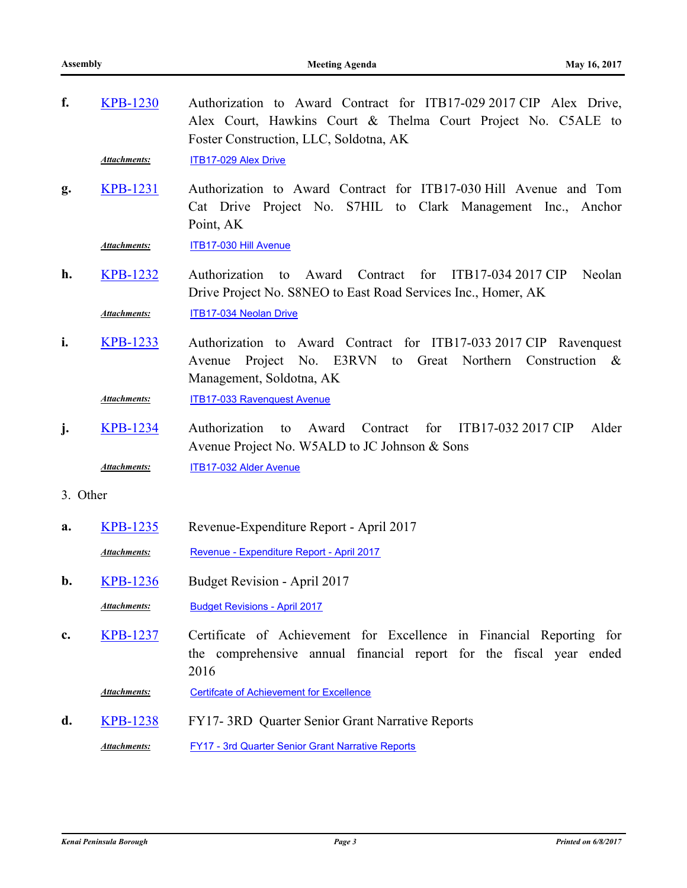| f.       | <b>KPB-1230</b>                                                                                                                                    | Authorization to Award Contract for ITB17-029 2017 CIP Alex Drive,<br>Alex Court, Hawkins Court & Thelma Court Project No. C5ALE to<br>Foster Construction, LLC, Soldotna, AK |  |  |  |  |  |
|----------|----------------------------------------------------------------------------------------------------------------------------------------------------|-------------------------------------------------------------------------------------------------------------------------------------------------------------------------------|--|--|--|--|--|
|          | <b>Attachments:</b>                                                                                                                                | <b>ITB17-029 Alex Drive</b>                                                                                                                                                   |  |  |  |  |  |
| g.       | <b>KPB-1231</b>                                                                                                                                    | Authorization to Award Contract for ITB17-030 Hill Avenue and Tom<br>Cat Drive Project No. S7HIL to Clark Management Inc., Anchor<br>Point, AK                                |  |  |  |  |  |
|          | <b>Attachments:</b>                                                                                                                                | ITB17-030 Hill Avenue                                                                                                                                                         |  |  |  |  |  |
| h.       | <b>KPB-1232</b>                                                                                                                                    | for<br>Contract<br>ITB17-034 2017 CIP<br>Neolan<br>Authorization<br>Award<br>to<br>Drive Project No. S8NEO to East Road Services Inc., Homer, AK                              |  |  |  |  |  |
|          | <b>Attachments:</b>                                                                                                                                | ITB17-034 Neolan Drive                                                                                                                                                        |  |  |  |  |  |
| i.       | <b>KPB-1233</b>                                                                                                                                    | Authorization to Award Contract for ITB17-033 2017 CIP Ravenquest<br>No. E3RVN<br>Great Northern<br>Project<br>Construction $\&$<br>Avenue<br>to<br>Management, Soldotna, AK  |  |  |  |  |  |
|          | <b>Attachments:</b>                                                                                                                                | <b>ITB17-033 Ravenquest Avenue</b>                                                                                                                                            |  |  |  |  |  |
| j.       | ITB17-032 2017 CIP<br><b>KPB-1234</b><br>Authorization<br>Award<br>Contract<br>for<br>Alder<br>to<br>Avenue Project No. W5ALD to JC Johnson & Sons |                                                                                                                                                                               |  |  |  |  |  |
|          | Attachments:                                                                                                                                       | ITB17-032 Alder Avenue                                                                                                                                                        |  |  |  |  |  |
| 3. Other |                                                                                                                                                    |                                                                                                                                                                               |  |  |  |  |  |
| a.       | <b>KPB-1235</b>                                                                                                                                    | Revenue-Expenditure Report - April 2017                                                                                                                                       |  |  |  |  |  |
|          | <b>Attachments:</b>                                                                                                                                | Revenue - Expenditure Report - April 2017                                                                                                                                     |  |  |  |  |  |
| b.       | <b>KPB-1236</b>                                                                                                                                    | Budget Revision - April 2017                                                                                                                                                  |  |  |  |  |  |
|          | <b>Attachments:</b>                                                                                                                                | <b>Budget Revisions - April 2017</b>                                                                                                                                          |  |  |  |  |  |
| c.       | <b>KPB-1237</b>                                                                                                                                    | Certificate of Achievement for Excellence in Financial Reporting for<br>the comprehensive annual financial report for the fiscal year ended<br>2016                           |  |  |  |  |  |
|          | <b>Attachments:</b>                                                                                                                                | <b>Certifcate of Achievement for Excellence</b>                                                                                                                               |  |  |  |  |  |
| d.       | <b>KPB-1238</b>                                                                                                                                    | FY17-3RD Quarter Senior Grant Narrative Reports                                                                                                                               |  |  |  |  |  |
|          | <b>Attachments:</b>                                                                                                                                | <b>FY17 - 3rd Quarter Senior Grant Narrative Reports</b>                                                                                                                      |  |  |  |  |  |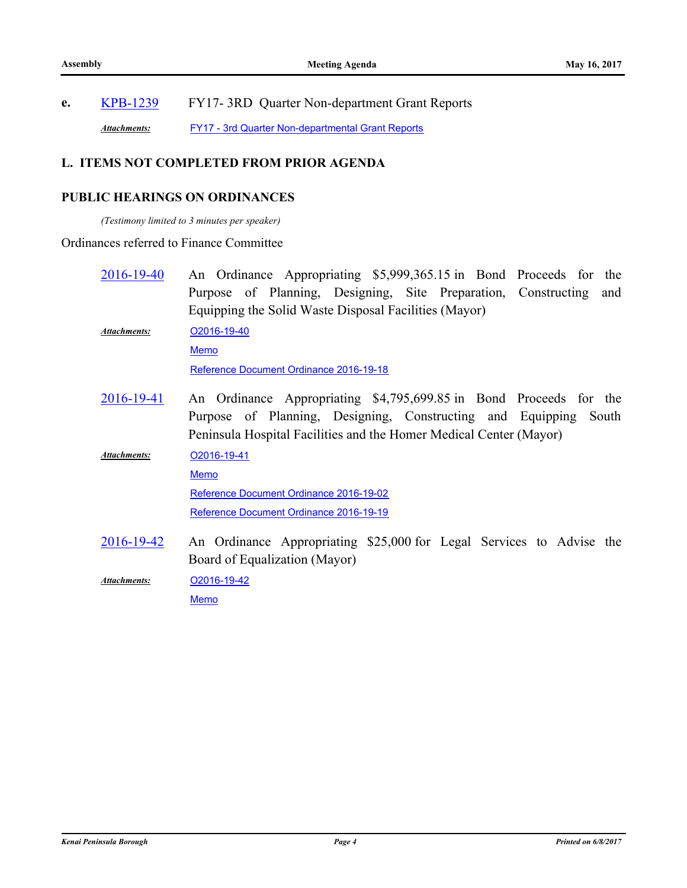# **e.** [KPB-1239](http://kpb.legistar.com/gateway.aspx?m=l&id=/matter.aspx?key=11519) FY17- 3RD Quarter Non-department Grant Reports Attachments: [FY17 - 3rd Quarter Non-departmental Grant Reports](http://kpb.legistar.com/gateway.aspx?M=F&ID=27f50a2c-257c-4461-9580-9cb2d40c2dd1.pdf)

# **L. ITEMS NOT COMPLETED FROM PRIOR AGENDA**

# **PUBLIC HEARINGS ON ORDINANCES**

*(Testimony limited to 3 minutes per speaker)*

# Ordinances referred to Finance Committee

| 2016-19-40          | An Ordinance Appropriating \$5,999,365.15 in Bond Proceeds for the    |  |  |  |  |  |
|---------------------|-----------------------------------------------------------------------|--|--|--|--|--|
|                     | Purpose of Planning, Designing, Site Preparation, Constructing<br>and |  |  |  |  |  |
|                     | Equipping the Solid Waste Disposal Facilities (Mayor)                 |  |  |  |  |  |
| <b>Attachments:</b> | O2016-19-40                                                           |  |  |  |  |  |
|                     | <b>Memo</b>                                                           |  |  |  |  |  |
|                     | Reference Document Ordinance 2016-19-18                               |  |  |  |  |  |
| 2016-19-41          | An Ordinance Appropriating \$4,795,699.85 in Bond Proceeds for the    |  |  |  |  |  |
|                     | Purpose of Planning, Designing, Constructing and Equipping<br>South   |  |  |  |  |  |
|                     | Peninsula Hospital Facilities and the Homer Medical Center (Mayor)    |  |  |  |  |  |
| <b>Attachments:</b> | O2016-19-41                                                           |  |  |  |  |  |
|                     | <b>Memo</b>                                                           |  |  |  |  |  |
|                     | Reference Document Ordinance 2016-19-02                               |  |  |  |  |  |
|                     | Reference Document Ordinance 2016-19-19                               |  |  |  |  |  |
| 2016-19-42          | An Ordinance Appropriating \$25,000 for Legal Services to Advise the  |  |  |  |  |  |
|                     | Board of Equalization (Mayor)                                         |  |  |  |  |  |
| Attachments:        | O2016-19-42                                                           |  |  |  |  |  |
|                     | <b>Memo</b>                                                           |  |  |  |  |  |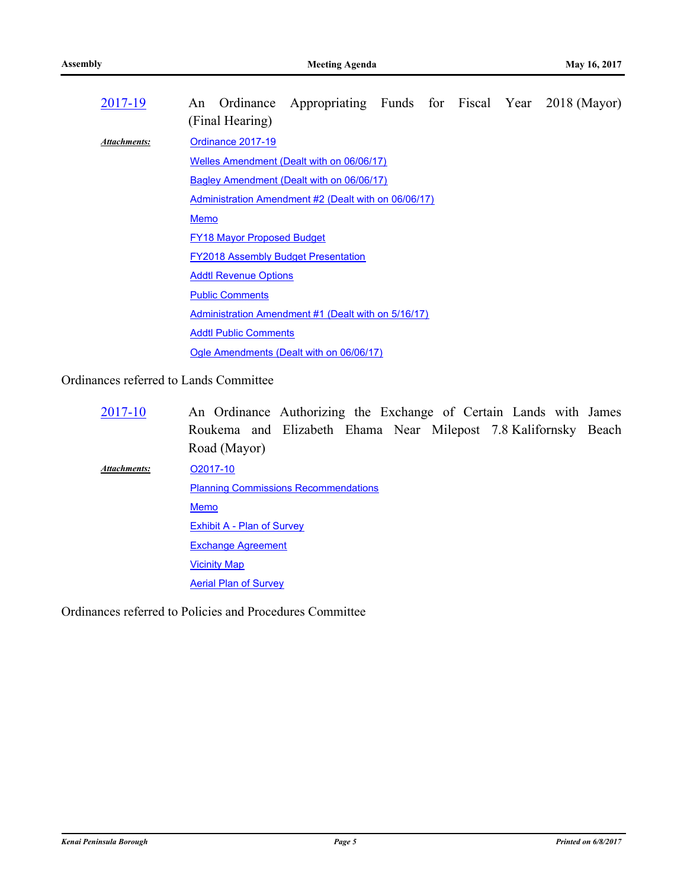| 2017-19             | Ordinance Appropriating Funds for Fiscal Year 2018 (Mayor)<br>An<br>(Final Hearing) |  |  |  |  |  |  |
|---------------------|-------------------------------------------------------------------------------------|--|--|--|--|--|--|
| <b>Attachments:</b> | Ordinance 2017-19                                                                   |  |  |  |  |  |  |
|                     | Welles Amendment (Dealt with on 06/06/17)                                           |  |  |  |  |  |  |
|                     | <b>Bagley Amendment (Dealt with on 06/06/17)</b>                                    |  |  |  |  |  |  |
|                     | Administration Amendment #2 (Dealt with on 06/06/17)                                |  |  |  |  |  |  |
|                     | <b>Memo</b>                                                                         |  |  |  |  |  |  |
|                     | <b>FY18 Mayor Proposed Budget</b>                                                   |  |  |  |  |  |  |
|                     | <b>FY2018 Assembly Budget Presentation</b>                                          |  |  |  |  |  |  |
|                     | <b>Addtl Revenue Options</b>                                                        |  |  |  |  |  |  |
|                     | <b>Public Comments</b>                                                              |  |  |  |  |  |  |
|                     | Administration Amendment #1 (Dealt with on 5/16/17)                                 |  |  |  |  |  |  |
|                     | <b>Addtl Public Comments</b>                                                        |  |  |  |  |  |  |
|                     | Ogle Amendments (Dealt with on 06/06/17)                                            |  |  |  |  |  |  |

Ordinances referred to Lands Committee

An Ordinance Authorizing the Exchange of Certain Lands with James Roukema and Elizabeth Ehama Near Milepost 7.8 Kalifornsky Beach Road (Mayor) [2017-10](http://kpb.legistar.com/gateway.aspx?m=l&id=/matter.aspx?key=11456) [O2017-10](http://kpb.legistar.com/gateway.aspx?M=F&ID=64d678bf-301e-4d8e-8d68-0a839a762153.pdf) [Planning Commissions Recommendations](http://kpb.legistar.com/gateway.aspx?M=F&ID=4d433c82-192f-4222-8efa-12182d19df93.pdf) [Memo](http://kpb.legistar.com/gateway.aspx?M=F&ID=9bad5277-6a7b-4b0c-a824-8a940e186f33.pdf) [Exhibit A - Plan of Survey](http://kpb.legistar.com/gateway.aspx?M=F&ID=57580d77-d6e5-4d3a-b225-cbccda1ba026.pdf) [Exchange Agreement](http://kpb.legistar.com/gateway.aspx?M=F&ID=458f10bc-80da-4979-a738-74655964d0b3.doc) [Vicinity Map](http://kpb.legistar.com/gateway.aspx?M=F&ID=1c46063c-af92-49ce-bd02-1e78d8ba7684.pdf) *Attachments:*

**[Aerial Plan of Survey](http://kpb.legistar.com/gateway.aspx?M=F&ID=03854862-4f6c-49b1-9741-0dfb59ee8685.pdf)** 

Ordinances referred to Policies and Procedures Committee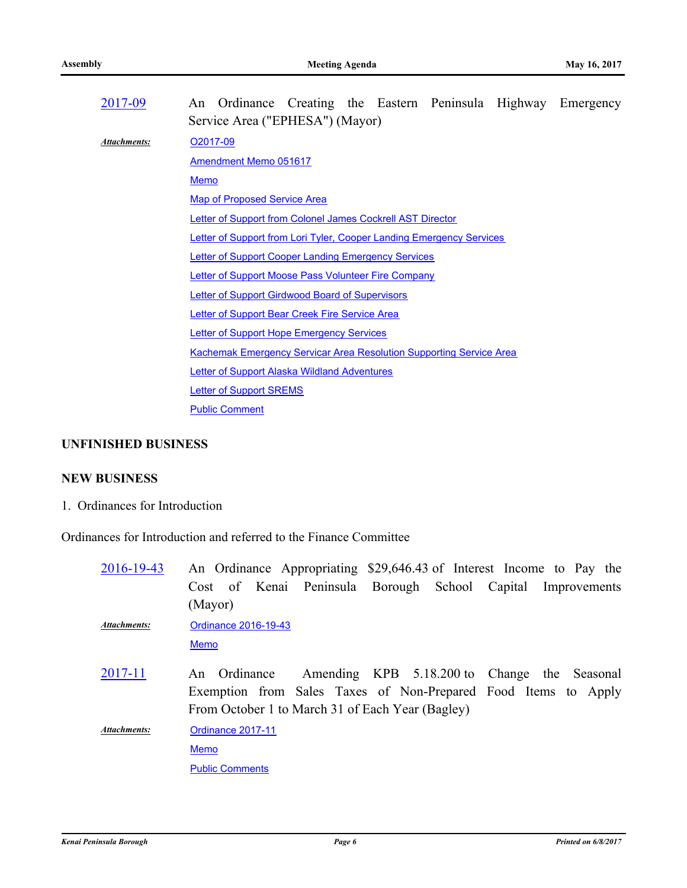| An Ordinance Creating the Eastern Peninsula Highway Emergency              |  |  |  |  |  |  |
|----------------------------------------------------------------------------|--|--|--|--|--|--|
| Service Area ("EPHESA") (Mayor)                                            |  |  |  |  |  |  |
| O <sub>2017</sub> -09                                                      |  |  |  |  |  |  |
| <b>Amendment Memo 051617</b>                                               |  |  |  |  |  |  |
| <b>Memo</b>                                                                |  |  |  |  |  |  |
| <b>Map of Proposed Service Area</b>                                        |  |  |  |  |  |  |
| <b>Letter of Support from Colonel James Cockrell AST Director</b>          |  |  |  |  |  |  |
| Letter of Support from Lori Tyler, Cooper Landing Emergency Services       |  |  |  |  |  |  |
| <b>Letter of Support Cooper Landing Emergency Services</b>                 |  |  |  |  |  |  |
| Letter of Support Moose Pass Volunteer Fire Company                        |  |  |  |  |  |  |
| <b>Letter of Support Girdwood Board of Supervisors</b>                     |  |  |  |  |  |  |
| Letter of Support Bear Creek Fire Service Area                             |  |  |  |  |  |  |
| <b>Letter of Support Hope Emergency Services</b>                           |  |  |  |  |  |  |
| <b>Kachemak Emergency Servicar Area Resolution Supporting Service Area</b> |  |  |  |  |  |  |
| <b>Letter of Support Alaska Wildland Adventures</b>                        |  |  |  |  |  |  |
| <b>Letter of Support SREMS</b>                                             |  |  |  |  |  |  |
| <b>Public Comment</b>                                                      |  |  |  |  |  |  |
|                                                                            |  |  |  |  |  |  |

# **UNFINISHED BUSINESS**

# **NEW BUSINESS**

1. Ordinances for Introduction

Ordinances for Introduction and referred to the Finance Committee

| 2016-19-43   | An Ordinance Appropriating \$29,646.43 of Interest Income to Pay the                                                                                                            |
|--------------|---------------------------------------------------------------------------------------------------------------------------------------------------------------------------------|
|              | Cost of Kenai Peninsula Borough School Capital Improvements                                                                                                                     |
|              | (Mayor)                                                                                                                                                                         |
| Attachments: | Ordinance 2016-19-43                                                                                                                                                            |
|              | <b>Memo</b>                                                                                                                                                                     |
| 2017-11      | An Ordinance Amending KPB 5.18.200 to Change the Seasonal<br>Exemption from Sales Taxes of Non-Prepared Food Items to Apply<br>From October 1 to March 31 of Each Year (Bagley) |
| Attachments: | Ordinance 2017-11                                                                                                                                                               |
|              | <b>Memo</b>                                                                                                                                                                     |
|              | <b>Public Comments</b>                                                                                                                                                          |
|              |                                                                                                                                                                                 |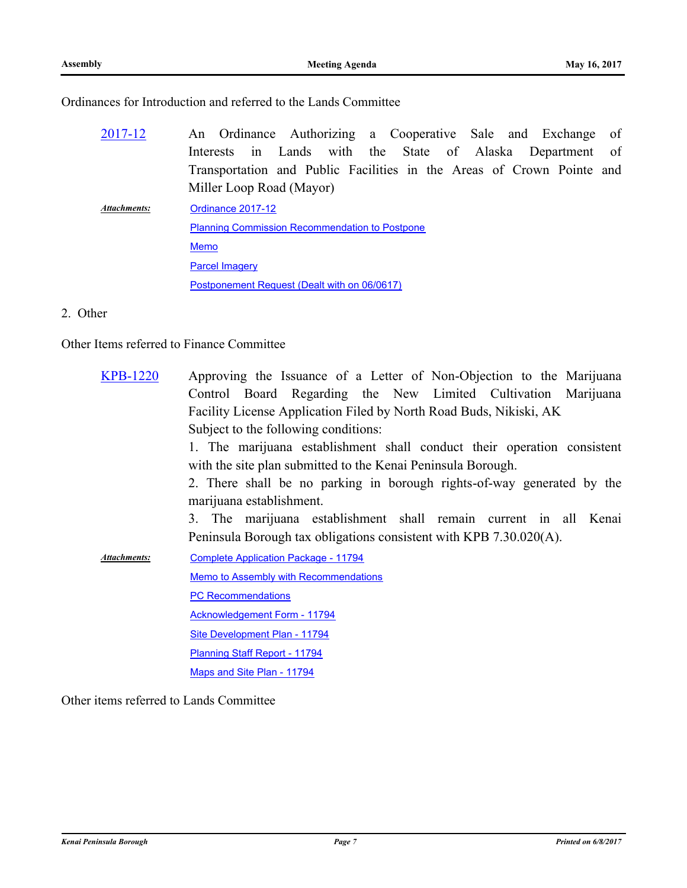Ordinances for Introduction and referred to the Lands Committee

- An Ordinance Authorizing a Cooperative Sale and Exchange of Interests in Lands with the State of Alaska Department of Transportation and Public Facilities in the Areas of Crown Pointe and Miller Loop Road (Mayor) [2017-12](http://kpb.legistar.com/gateway.aspx?m=l&id=/matter.aspx?key=11502)
- [Ordinance 2017-12](http://kpb.legistar.com/gateway.aspx?M=F&ID=282c8a4a-9aab-4671-a6c0-0db1426c22ac.doc) [Planning Commission Recommendation to Postpone](http://kpb.legistar.com/gateway.aspx?M=F&ID=30be12d7-5102-4aa2-bacb-5307b9fa1dff.pdf) [Memo](http://kpb.legistar.com/gateway.aspx?M=F&ID=dc542b1b-1469-441b-8948-02b50ebe01ba.pdf) **[Parcel Imagery](http://kpb.legistar.com/gateway.aspx?M=F&ID=038259ac-04b8-4204-b465-2a3517d06e63.pdf)** [Postponement Request \(Dealt with on 06/0617\)](http://kpb.legistar.com/gateway.aspx?M=F&ID=1a30d8c2-d2a6-4f02-94fc-62240bc1f270.pdf) *Attachments:*

### 2. Other

Other Items referred to Finance Committee

| <b>KPB-1220</b>     | Approving the Issuance of a Letter of Non-Objection to the Marijuana    |  |  |  |  |
|---------------------|-------------------------------------------------------------------------|--|--|--|--|
|                     | Control Board Regarding the New Limited Cultivation Marijuana           |  |  |  |  |
|                     | Facility License Application Filed by North Road Buds, Nikiski, AK      |  |  |  |  |
|                     | Subject to the following conditions:                                    |  |  |  |  |
|                     | 1. The marijuana establishment shall conduct their operation consistent |  |  |  |  |
|                     | with the site plan submitted to the Kenai Peninsula Borough.            |  |  |  |  |
|                     | 2. There shall be no parking in borough rights-of-way generated by the  |  |  |  |  |
|                     | marijuana establishment.                                                |  |  |  |  |
|                     | 3. The marijuana establishment shall remain current in all Kenai        |  |  |  |  |
|                     | Peninsula Borough tax obligations consistent with KPB 7.30.020(A).      |  |  |  |  |
| <b>Attachments:</b> | <b>Complete Application Package - 11794</b>                             |  |  |  |  |
|                     | Memo to Assembly with Recommendations                                   |  |  |  |  |
|                     | <b>PC Recommendations</b>                                               |  |  |  |  |
|                     | <b>Acknowledgement Form - 11794</b>                                     |  |  |  |  |
|                     | Site Development Plan - 11794                                           |  |  |  |  |
|                     | Planning Staff Report - 11794                                           |  |  |  |  |
|                     | Maps and Site Plan - 11794                                              |  |  |  |  |

Other items referred to Lands Committee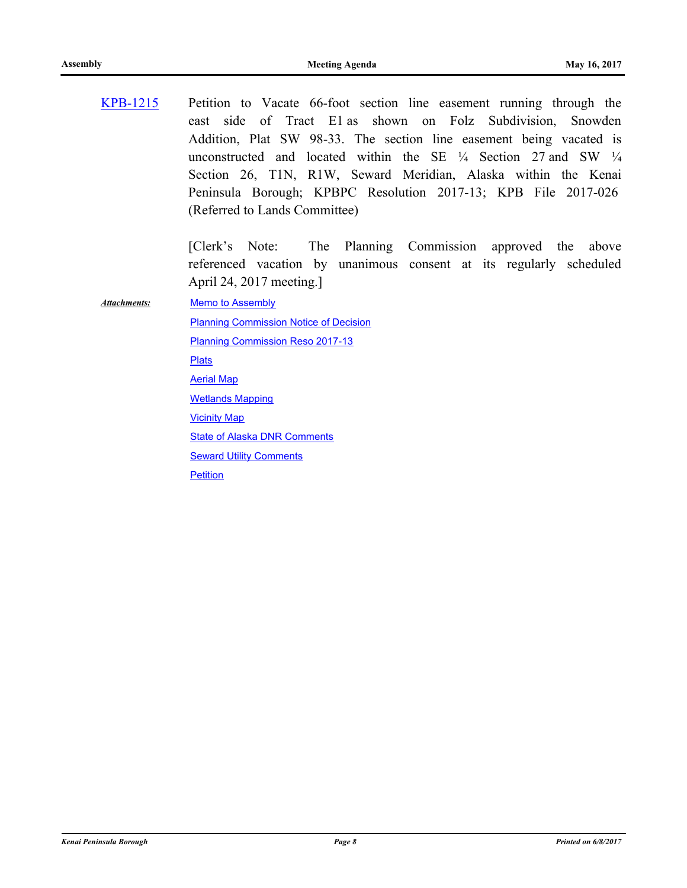Petition to Vacate 66-foot section line easement running through the east side of Tract E1 as shown on Folz Subdivision, Snowden Addition, Plat SW 98-33. The section line easement being vacated is unconstructed and located within the SE  $\frac{1}{4}$  Section 27 and SW  $\frac{1}{4}$ Section 26, T1N, R1W, Seward Meridian, Alaska within the Kenai Peninsula Borough; KPBPC Resolution 2017-13; KPB File 2017-026 (Referred to Lands Committee) [KPB-1215](http://kpb.legistar.com/gateway.aspx?m=l&id=/matter.aspx?key=11494)

> [Clerk's Note: The Planning Commission approved the above referenced vacation by unanimous consent at its regularly scheduled April 24, 2017 meeting.]

*Attachments:*

**[Memo to Assembly](http://kpb.legistar.com/gateway.aspx?M=F&ID=cbf50191-c823-4100-9f74-57a63acb3d81.pdf)** [Planning Commission Notice of Decision](http://kpb.legistar.com/gateway.aspx?M=F&ID=90d23780-8f50-4452-b764-9e8f1c325860.pdf) [Planning Commission Reso 2017-13](http://kpb.legistar.com/gateway.aspx?M=F&ID=2489cf9a-66a1-456d-a753-00bf692732b4.pdf) [Plats](http://kpb.legistar.com/gateway.aspx?M=F&ID=c2d9e317-a422-4160-92ee-04f83ad0fa52.pdf) [Aerial Map](http://kpb.legistar.com/gateway.aspx?M=F&ID=6361f4ee-9979-4803-8d87-b43d34246058.pdf) [Wetlands Mapping](http://kpb.legistar.com/gateway.aspx?M=F&ID=98a74580-5c6f-46e8-bd7e-5680971a7273.pdf) [Vicinity Map](http://kpb.legistar.com/gateway.aspx?M=F&ID=9c9f84f9-2b12-4c2f-936a-4cccae3d8651.pdf) **[State of Alaska DNR Comments](http://kpb.legistar.com/gateway.aspx?M=F&ID=5ad3ebf8-db0e-4a8d-a917-088dfafee7b8.pdf) [Seward Utility Comments](http://kpb.legistar.com/gateway.aspx?M=F&ID=45132329-2a48-4ab0-a0cf-003d833c25ab.pdf) [Petition](http://kpb.legistar.com/gateway.aspx?M=F&ID=b76dac15-a973-41f3-8161-b0366962518a.pdf)**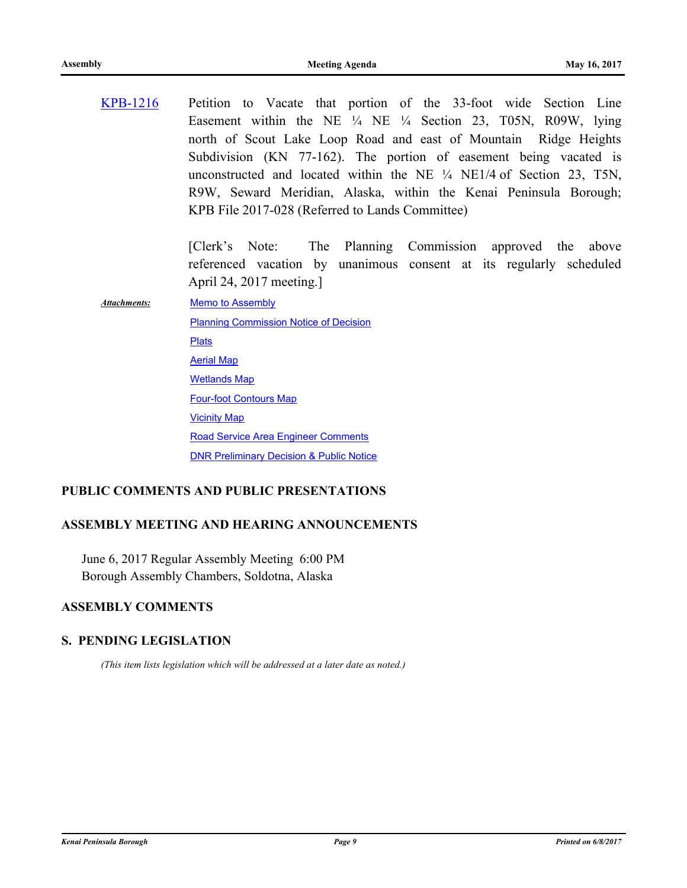Petition to Vacate that portion of the 33-foot wide Section Line Easement within the NE ¼ NE ¼ Section 23, T05N, R09W, lying north of Scout Lake Loop Road and east of Mountain Ridge Heights Subdivision (KN 77-162). The portion of easement being vacated is unconstructed and located within the NE ¼ NE1/4 of Section 23, T5N, R9W, Seward Meridian, Alaska, within the Kenai Peninsula Borough; KPB File 2017-028 (Referred to Lands Committee) [KPB-1216](http://kpb.legistar.com/gateway.aspx?m=l&id=/matter.aspx?key=11495)

> [Clerk's Note: The Planning Commission approved the above referenced vacation by unanimous consent at its regularly scheduled April 24, 2017 meeting.]

**[Memo to Assembly](http://kpb.legistar.com/gateway.aspx?M=F&ID=18c25627-7303-403d-9118-429f821ba66d.pdf)** [Planning Commission Notice of Decision](http://kpb.legistar.com/gateway.aspx?M=F&ID=4451ea0f-e401-4009-9bd8-692eb68ac283.pdf) **[Plats](http://kpb.legistar.com/gateway.aspx?M=F&ID=cb5b038d-b2dd-4f1a-b69d-82b972bf64ab.pdf)** [Aerial Map](http://kpb.legistar.com/gateway.aspx?M=F&ID=0b9c7c4c-1a1b-46af-966c-d3d975cdbb07.pdf) *Attachments:*

[Wetlands Map](http://kpb.legistar.com/gateway.aspx?M=F&ID=e961b625-3031-4b75-8eb8-7892003efb47.pdf)

[Four-foot Contours Map](http://kpb.legistar.com/gateway.aspx?M=F&ID=7a726fa8-75e7-4e52-bf77-5c9adb41853b.pdf) [Vicinity Map](http://kpb.legistar.com/gateway.aspx?M=F&ID=d7e65fe3-3335-4ac7-b5c9-c276f2d18240.pdf)

[Road Service Area Engineer Comments](http://kpb.legistar.com/gateway.aspx?M=F&ID=db2ab708-a1c8-41f4-b672-c06050c81ea5.pdf)

[DNR Preliminary Decision & Public Notice](http://kpb.legistar.com/gateway.aspx?M=F&ID=7e9dd65d-164a-4399-af6d-d279c8c308f0.pdf)

### **PUBLIC COMMENTS AND PUBLIC PRESENTATIONS**

### **ASSEMBLY MEETING AND HEARING ANNOUNCEMENTS**

June 6, 2017 Regular Assembly Meeting 6:00 PM Borough Assembly Chambers, Soldotna, Alaska

# **ASSEMBLY COMMENTS**

### **S. PENDING LEGISLATION**

*(This item lists legislation which will be addressed at a later date as noted.)*